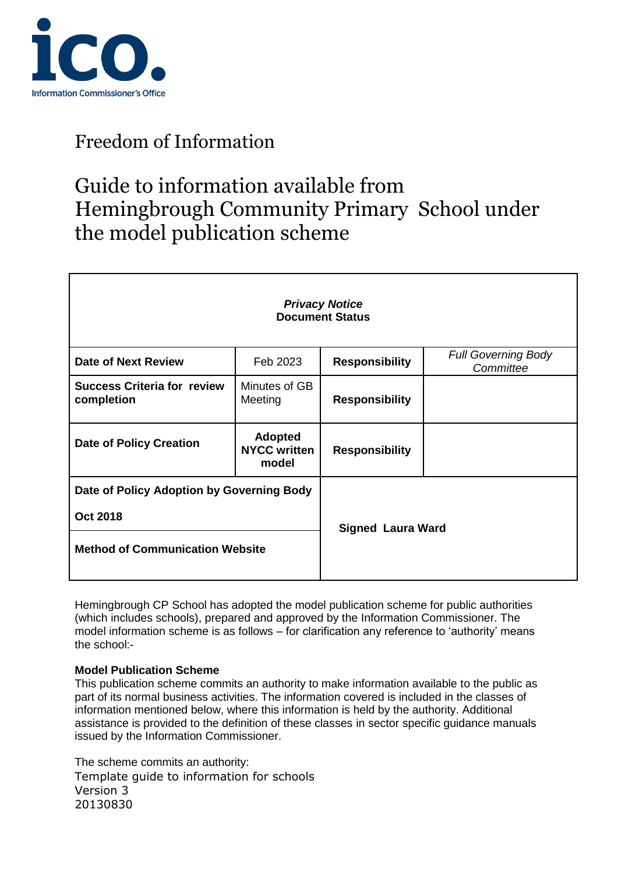

## Guide to information available from Hemingbrough Community Primary School under the model publication scheme

| <b>Privacy Notice</b><br><b>Document Status</b>                                                        |                                                |                          |                                         |
|--------------------------------------------------------------------------------------------------------|------------------------------------------------|--------------------------|-----------------------------------------|
| <b>Date of Next Review</b>                                                                             | Feb 2023                                       | <b>Responsibility</b>    | <b>Full Governing Body</b><br>Committee |
| <b>Success Criteria for review</b><br>completion                                                       | Minutes of GB<br>Meeting                       | <b>Responsibility</b>    |                                         |
| <b>Date of Policy Creation</b>                                                                         | <b>Adopted</b><br><b>NYCC written</b><br>model | <b>Responsibility</b>    |                                         |
| Date of Policy Adoption by Governing Body<br><b>Oct 2018</b><br><b>Method of Communication Website</b> |                                                | <b>Signed Laura Ward</b> |                                         |

Hemingbrough CP School has adopted the model publication scheme for public authorities (which includes schools), prepared and approved by the Information Commissioner. The model information scheme is as follows – for clarification any reference to 'authority' means the school:-

#### **Model Publication Scheme**

This publication scheme commits an authority to make information available to the public as part of its normal business activities. The information covered is included in the classes of information mentioned below, where this information is held by the authority. Additional assistance is provided to the definition of these classes in sector specific guidance manuals issued by the Information Commissioner.

Template guide to information for schools Version 3 1 20130830 The scheme commits an authority: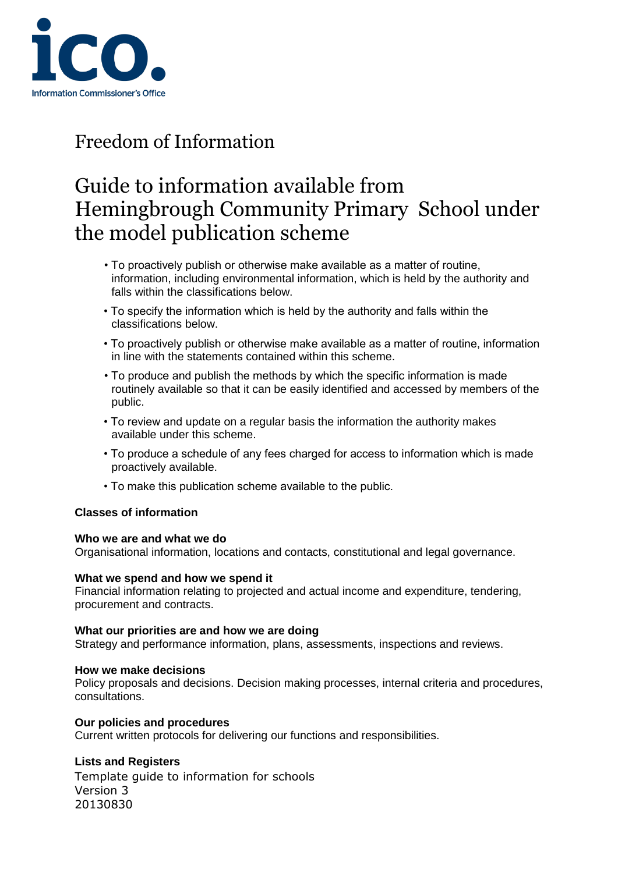

# Guide to information available from Hemingbrough Community Primary School under the model publication scheme

- To proactively publish or otherwise make available as a matter of routine, information, including environmental information, which is held by the authority and falls within the classifications below.
- To specify the information which is held by the authority and falls within the classifications below.
- To proactively publish or otherwise make available as a matter of routine, information in line with the statements contained within this scheme.
- To produce and publish the methods by which the specific information is made routinely available so that it can be easily identified and accessed by members of the public.
- To review and update on a regular basis the information the authority makes available under this scheme.
- To produce a schedule of any fees charged for access to information which is made proactively available.
- To make this publication scheme available to the public.

#### **Classes of information**

#### **Who we are and what we do**

Organisational information, locations and contacts, constitutional and legal governance.

#### **What we spend and how we spend it**

Financial information relating to projected and actual income and expenditure, tendering, procurement and contracts.

#### **What our priorities are and how we are doing**

Strategy and performance information, plans, assessments, inspections and reviews.

#### **How we make decisions**

Policy proposals and decisions. Decision making processes, internal criteria and procedures, consultations.

#### **Our policies and procedures**

Current written protocols for delivering our functions and responsibilities.

#### **Lists and Registers**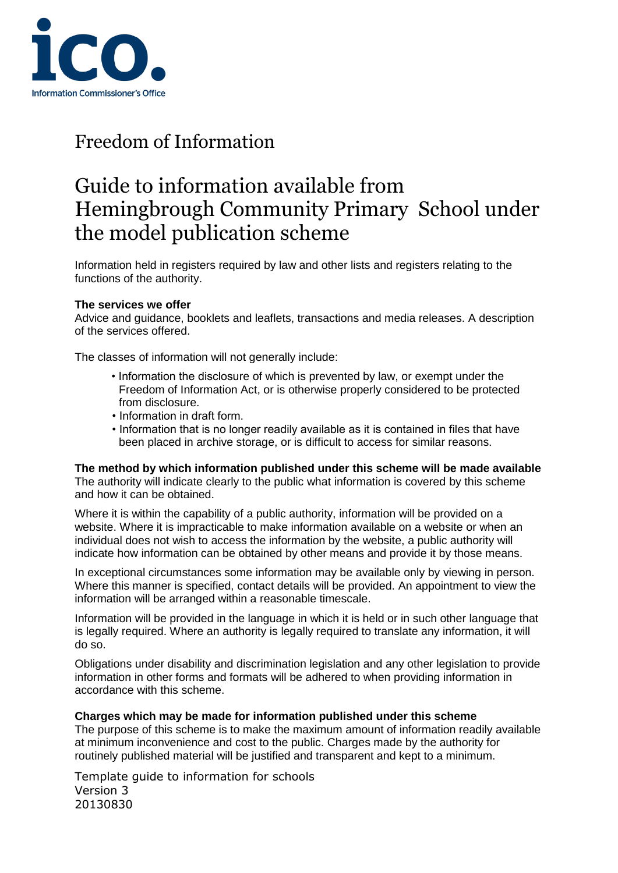

## Guide to information available from Hemingbrough Community Primary School under the model publication scheme

Information held in registers required by law and other lists and registers relating to the functions of the authority.

#### **The services we offer**

Advice and guidance, booklets and leaflets, transactions and media releases. A description of the services offered.

The classes of information will not generally include:

- Information the disclosure of which is prevented by law, or exempt under the Freedom of Information Act, or is otherwise properly considered to be protected from disclosure.
- Information in draft form.
- Information that is no longer readily available as it is contained in files that have been placed in archive storage, or is difficult to access for similar reasons.

**The method by which information published under this scheme will be made available** 

The authority will indicate clearly to the public what information is covered by this scheme and how it can be obtained.

Where it is within the capability of a public authority, information will be provided on a website. Where it is impracticable to make information available on a website or when an individual does not wish to access the information by the website, a public authority will indicate how information can be obtained by other means and provide it by those means.

In exceptional circumstances some information may be available only by viewing in person. Where this manner is specified, contact details will be provided. An appointment to view the information will be arranged within a reasonable timescale.

Information will be provided in the language in which it is held or in such other language that is legally required. Where an authority is legally required to translate any information, it will do so.

Obligations under disability and discrimination legislation and any other legislation to provide information in other forms and formats will be adhered to when providing information in accordance with this scheme.

#### **Charges which may be made for information published under this scheme**

The purpose of this scheme is to make the maximum amount of information readily available at minimum inconvenience and cost to the public. Charges made by the authority for routinely published material will be justified and transparent and kept to a minimum.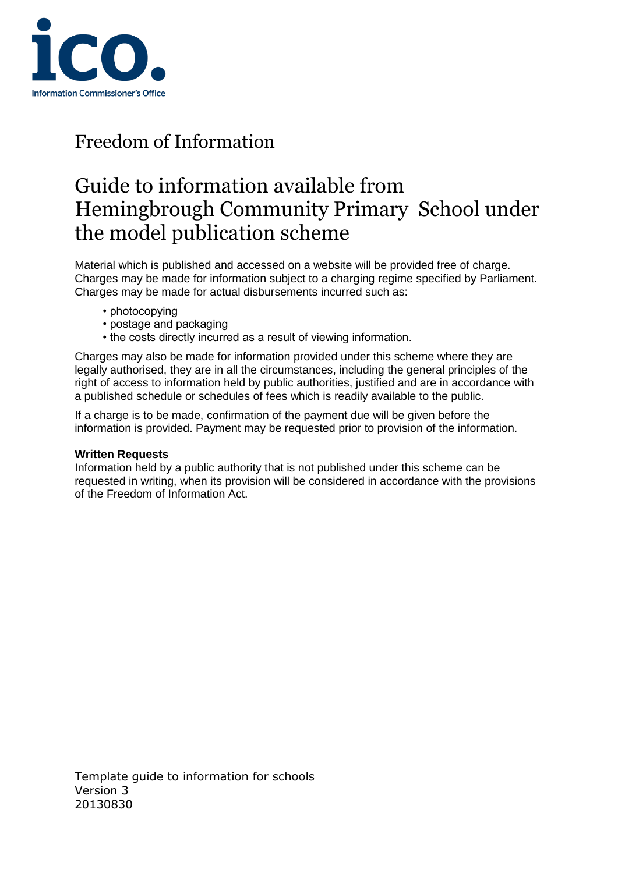

## Guide to information available from Hemingbrough Community Primary School under the model publication scheme

Material which is published and accessed on a website will be provided free of charge. Charges may be made for information subject to a charging regime specified by Parliament. Charges may be made for actual disbursements incurred such as:

- photocopying
- postage and packaging
- the costs directly incurred as a result of viewing information.

Charges may also be made for information provided under this scheme where they are legally authorised, they are in all the circumstances, including the general principles of the right of access to information held by public authorities, justified and are in accordance with a published schedule or schedules of fees which is readily available to the public.

If a charge is to be made, confirmation of the payment due will be given before the information is provided. Payment may be requested prior to provision of the information.

#### **Written Requests**

Information held by a public authority that is not published under this scheme can be requested in writing, when its provision will be considered in accordance with the provisions of the Freedom of Information Act.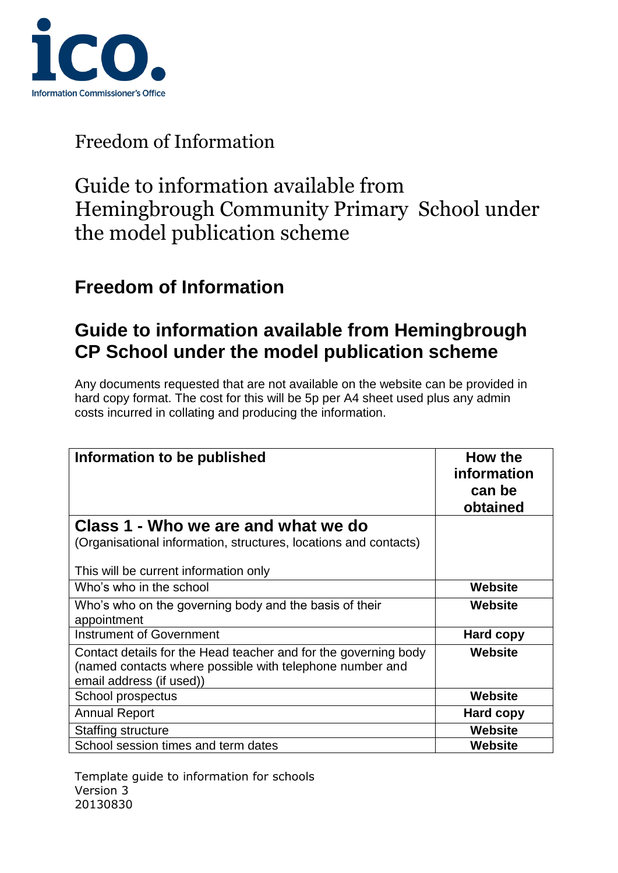

## Guide to information available from Hemingbrough Community Primary School under the model publication scheme

### **Freedom of Information**

### **Guide to information available from Hemingbrough CP School under the model publication scheme**

Any documents requested that are not available on the website can be provided in hard copy format. The cost for this will be 5p per A4 sheet used plus any admin costs incurred in collating and producing the information.

| Information to be published                                                                                                                             | How the<br>information<br>can be<br>obtained |
|---------------------------------------------------------------------------------------------------------------------------------------------------------|----------------------------------------------|
| Class 1 - Who we are and what we do<br>(Organisational information, structures, locations and contacts)<br>This will be current information only        |                                              |
| Who's who in the school                                                                                                                                 | Website                                      |
| Who's who on the governing body and the basis of their<br>appointment                                                                                   | Website                                      |
| <b>Instrument of Government</b>                                                                                                                         | Hard copy                                    |
| Contact details for the Head teacher and for the governing body<br>(named contacts where possible with telephone number and<br>email address (if used)) | Website                                      |
| School prospectus                                                                                                                                       | <b>Website</b>                               |
| <b>Annual Report</b>                                                                                                                                    | Hard copy                                    |
| Staffing structure                                                                                                                                      | Website                                      |
| School session times and term dates                                                                                                                     | Website                                      |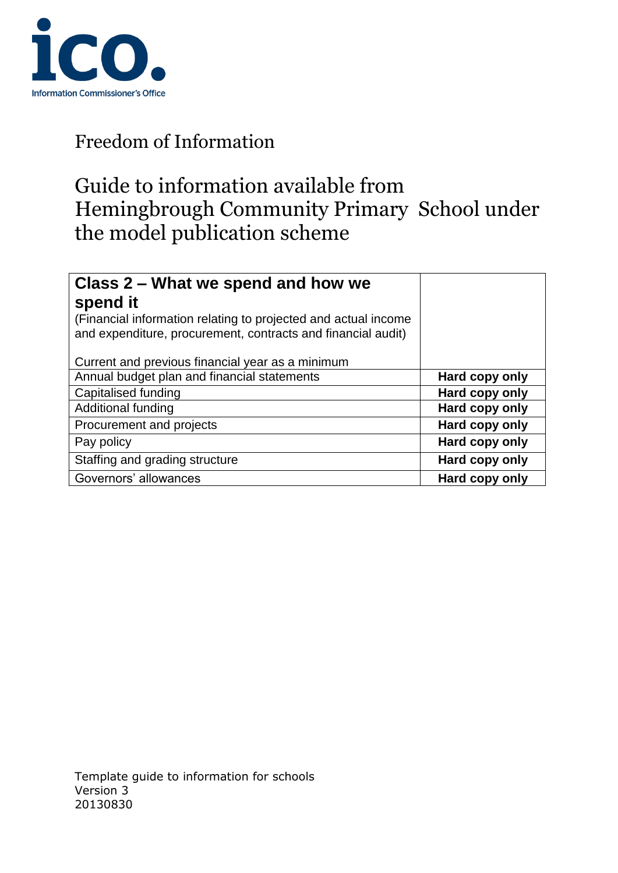

# Guide to information available from Hemingbrough Community Primary School under the model publication scheme

| Class 2 – What we spend and how we<br>spend it<br>(Financial information relating to projected and actual income<br>and expenditure, procurement, contracts and financial audit) |                |
|----------------------------------------------------------------------------------------------------------------------------------------------------------------------------------|----------------|
| Current and previous financial year as a minimum                                                                                                                                 |                |
| Annual budget plan and financial statements                                                                                                                                      | Hard copy only |
| Capitalised funding                                                                                                                                                              | Hard copy only |
| <b>Additional funding</b>                                                                                                                                                        | Hard copy only |
| Procurement and projects                                                                                                                                                         | Hard copy only |
| Pay policy                                                                                                                                                                       | Hard copy only |
| Staffing and grading structure                                                                                                                                                   | Hard copy only |
| Governors' allowances                                                                                                                                                            | Hard copy only |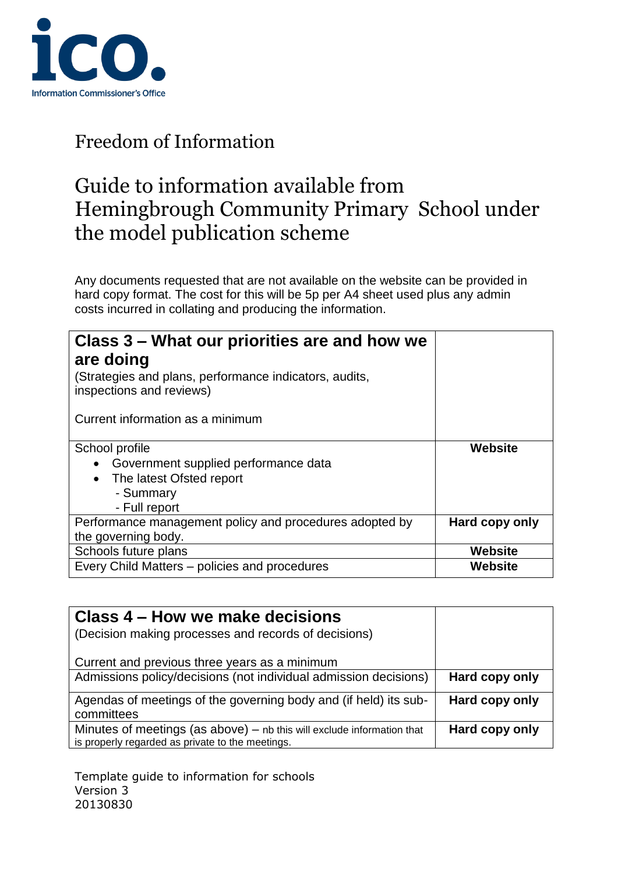

## Guide to information available from Hemingbrough Community Primary School under the model publication scheme

Any documents requested that are not available on the website can be provided in hard copy format. The cost for this will be 5p per A4 sheet used plus any admin costs incurred in collating and producing the information.

| Class 3 – What our priorities are and how we<br>are doing<br>(Strategies and plans, performance indicators, audits,<br>inspections and reviews)<br>Current information as a minimum |                           |
|-------------------------------------------------------------------------------------------------------------------------------------------------------------------------------------|---------------------------|
| School profile<br>Government supplied performance data<br>The latest Ofsted report<br>$\bullet$<br>- Summary<br>- Full report                                                       | <b>Website</b>            |
| Performance management policy and procedures adopted by<br>the governing body.                                                                                                      | Hard copy only            |
| Schools future plans<br>Every Child Matters - policies and procedures                                                                                                               | <b>Website</b><br>Website |

| Class 4 – How we make decisions<br>(Decision making processes and records of decisions)                                      |                |
|------------------------------------------------------------------------------------------------------------------------------|----------------|
| Current and previous three years as a minimum                                                                                |                |
| Admissions policy/decisions (not individual admission decisions)                                                             | Hard copy only |
| Agendas of meetings of the governing body and (if held) its sub-<br>committees                                               | Hard copy only |
| Minutes of meetings (as above) $-$ nb this will exclude information that<br>is properly regarded as private to the meetings. | Hard copy only |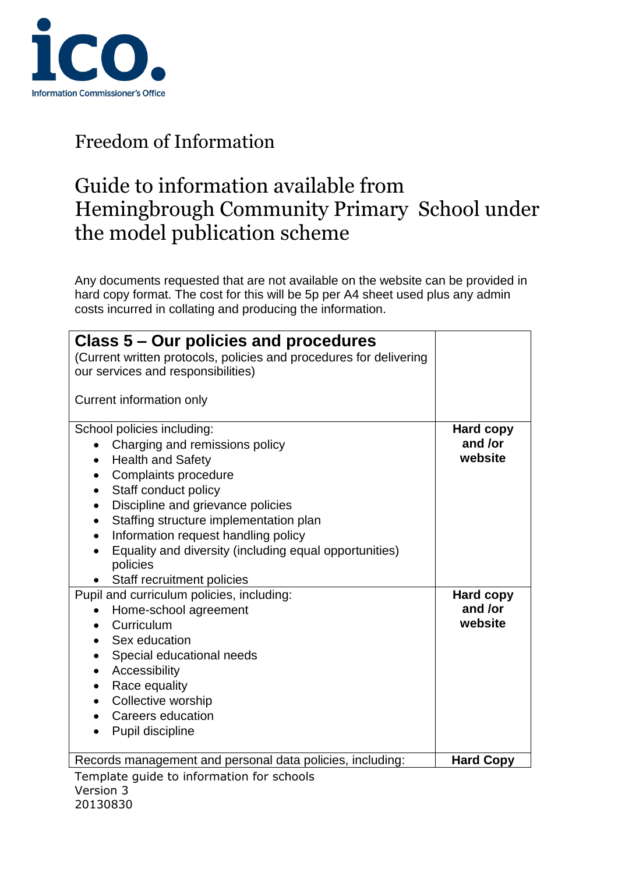

## Guide to information available from Hemingbrough Community Primary School under the model publication scheme

Any documents requested that are not available on the website can be provided in hard copy format. The cost for this will be 5p per A4 sheet used plus any admin costs incurred in collating and producing the information.

| Class 5 – Our policies and procedures<br>(Current written protocols, policies and procedures for delivering<br>our services and responsibilities)<br>Current information only |                  |
|-------------------------------------------------------------------------------------------------------------------------------------------------------------------------------|------------------|
| School policies including:                                                                                                                                                    | <b>Hard copy</b> |
| Charging and remissions policy                                                                                                                                                | and /or          |
| <b>Health and Safety</b><br>$\bullet$                                                                                                                                         | website          |
| Complaints procedure<br>$\bullet$                                                                                                                                             |                  |
| Staff conduct policy<br>٠                                                                                                                                                     |                  |
| Discipline and grievance policies<br>$\bullet$                                                                                                                                |                  |
| Staffing structure implementation plan<br>$\bullet$                                                                                                                           |                  |
| Information request handling policy<br>$\bullet$                                                                                                                              |                  |
| Equality and diversity (including equal opportunities)<br>policies                                                                                                            |                  |
| Staff recruitment policies                                                                                                                                                    |                  |
| Pupil and curriculum policies, including:                                                                                                                                     | <b>Hard copy</b> |
| Home-school agreement                                                                                                                                                         | and /or          |
| Curriculum                                                                                                                                                                    | website          |
| Sex education                                                                                                                                                                 |                  |
| Special educational needs<br>$\bullet$                                                                                                                                        |                  |
| Accessibility<br>$\bullet$                                                                                                                                                    |                  |
| Race equality<br>$\bullet$                                                                                                                                                    |                  |
| Collective worship                                                                                                                                                            |                  |
| Careers education<br>$\bullet$                                                                                                                                                |                  |
| Pupil discipline                                                                                                                                                              |                  |
| Records management and personal data policies, including:                                                                                                                     | <b>Hard Copy</b> |
| Template guide to information for schools                                                                                                                                     |                  |

Version 3 8 20130830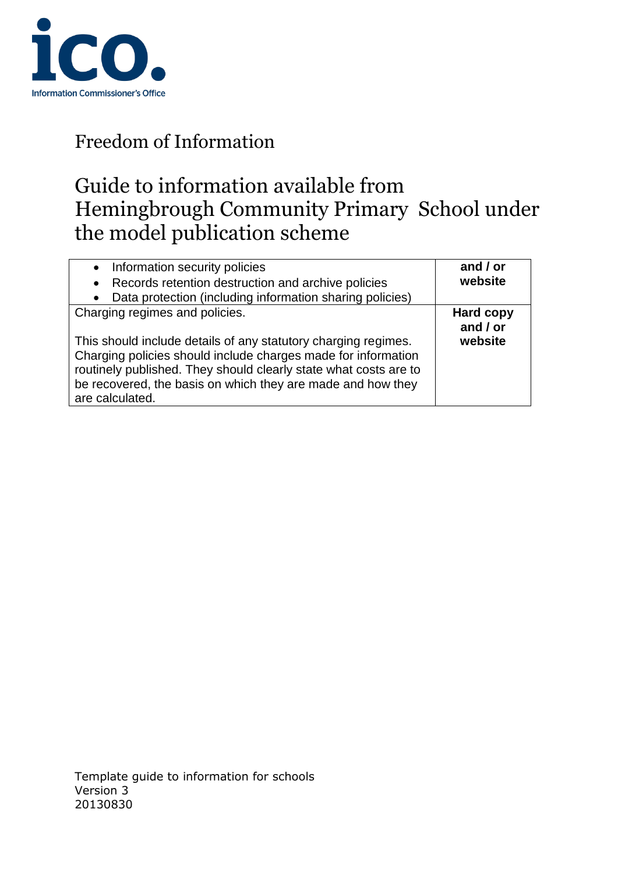

# Guide to information available from Hemingbrough Community Primary School under the model publication scheme

| Information security policies<br>$\bullet$<br>Records retention destruction and archive policies<br>$\bullet$<br>Data protection (including information sharing policies)                                                                                                                                               | and / or<br>website                     |
|-------------------------------------------------------------------------------------------------------------------------------------------------------------------------------------------------------------------------------------------------------------------------------------------------------------------------|-----------------------------------------|
| Charging regimes and policies.<br>This should include details of any statutory charging regimes.<br>Charging policies should include charges made for information<br>routinely published. They should clearly state what costs are to<br>be recovered, the basis on which they are made and how they<br>are calculated. | <b>Hard copy</b><br>and / or<br>website |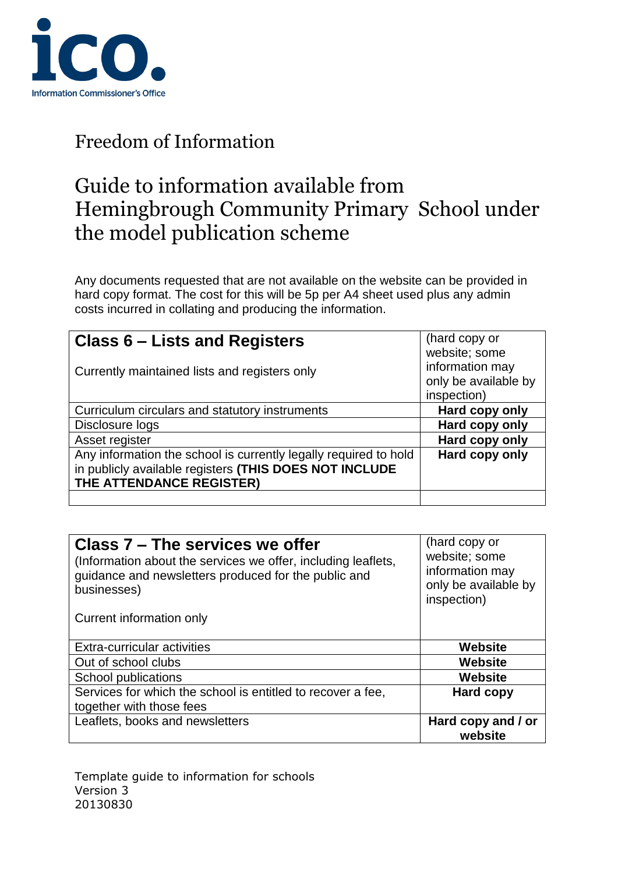

## Guide to information available from Hemingbrough Community Primary School under the model publication scheme

Any documents requested that are not available on the website can be provided in hard copy format. The cost for this will be 5p per A4 sheet used plus any admin costs incurred in collating and producing the information.

| Class 6 – Lists and Registers                                                                                                                          | (hard copy or<br>website; some                         |
|--------------------------------------------------------------------------------------------------------------------------------------------------------|--------------------------------------------------------|
| Currently maintained lists and registers only                                                                                                          | information may<br>only be available by<br>inspection) |
| Curriculum circulars and statutory instruments                                                                                                         | Hard copy only                                         |
| Disclosure logs                                                                                                                                        | Hard copy only                                         |
| Asset register                                                                                                                                         | Hard copy only                                         |
| Any information the school is currently legally required to hold<br>in publicly available registers (THIS DOES NOT INCLUDE<br>THE ATTENDANCE REGISTER) | Hard copy only                                         |
|                                                                                                                                                        |                                                        |

| Class 7 – The services we offer<br>(Information about the services we offer, including leaflets,<br>guidance and newsletters produced for the public and<br>businesses) | (hard copy or<br>website; some<br>information may<br>only be available by<br>inspection) |
|-------------------------------------------------------------------------------------------------------------------------------------------------------------------------|------------------------------------------------------------------------------------------|
| Current information only                                                                                                                                                |                                                                                          |
| Extra-curricular activities                                                                                                                                             | <b>Website</b>                                                                           |
| Out of school clubs                                                                                                                                                     | <b>Website</b>                                                                           |
| School publications                                                                                                                                                     | <b>Website</b>                                                                           |
| Services for which the school is entitled to recover a fee,<br>together with those fees                                                                                 | <b>Hard copy</b>                                                                         |
| Leaflets, books and newsletters                                                                                                                                         | Hard copy and / or<br>website                                                            |

Template guide to information for schools version 3 100 km in the set of the set of the set of the set of the set of the set of the set of the set of the set of the set of the set of the set of the set of the set of the set of the set of the set of the set of the 20130830